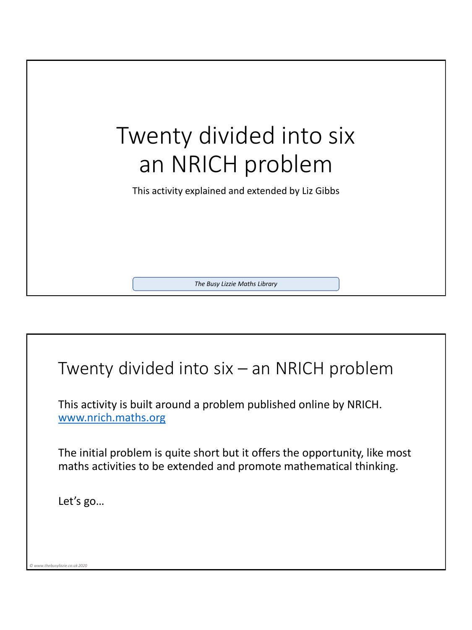

## Twenty divided into six – an NRICH problem

This activity is built around a problem published online by NRICH. [www.nrich.maths.org](http://www.nrich.maths.org/)

The initial problem is quite short but it offers the opportunity, like most maths activities to be extended and promote mathematical thinking.

Let's go…

*© www.thebusylizzie.co.uk 2020*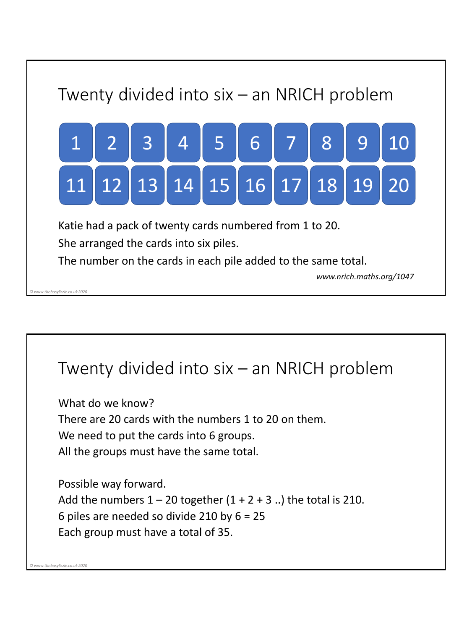

## Twenty divided into six – an NRICH problem What do we know? There are 20 cards with the numbers 1 to 20 on them. We need to put the cards into 6 groups. All the groups must have the same total. Possible way forward. Add the numbers  $1 - 20$  together  $(1 + 2 + 3)$ .. the total is 210. 6 piles are needed so divide 210 by 6 = 25 Each group must have a total of 35. *© www.thebusylizzie.co.uk 2020*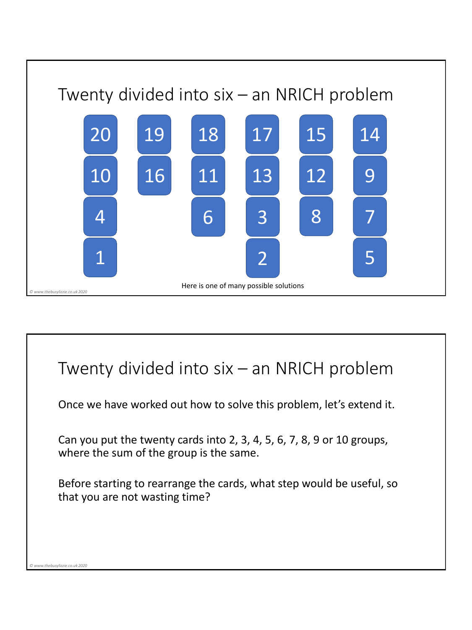

## Twenty divided into six – an NRICH problem Once we have worked out how to solve this problem, let's extend it. Can you put the twenty cards into 2, 3, 4, 5, 6, 7, 8, 9 or 10 groups, where the sum of the group is the same. Before starting to rearrange the cards, what step would be useful, so that you are not wasting time? *© www.thebusylizzie.co.uk 2020*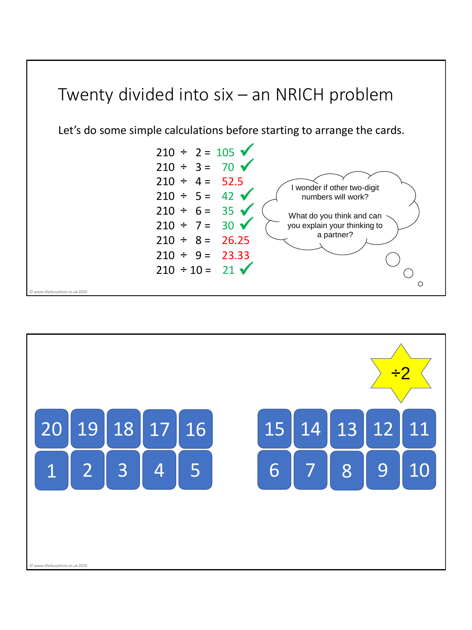

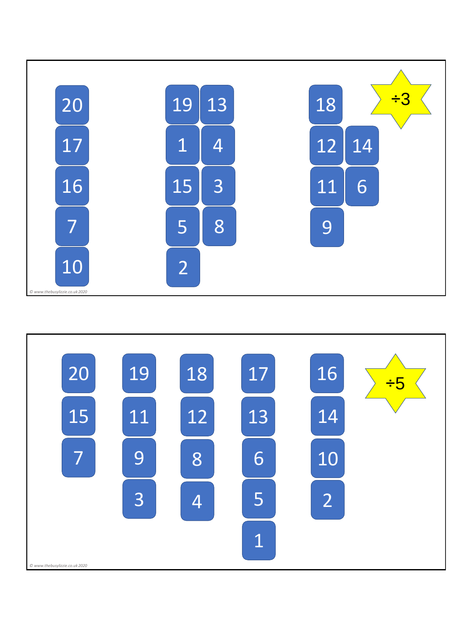